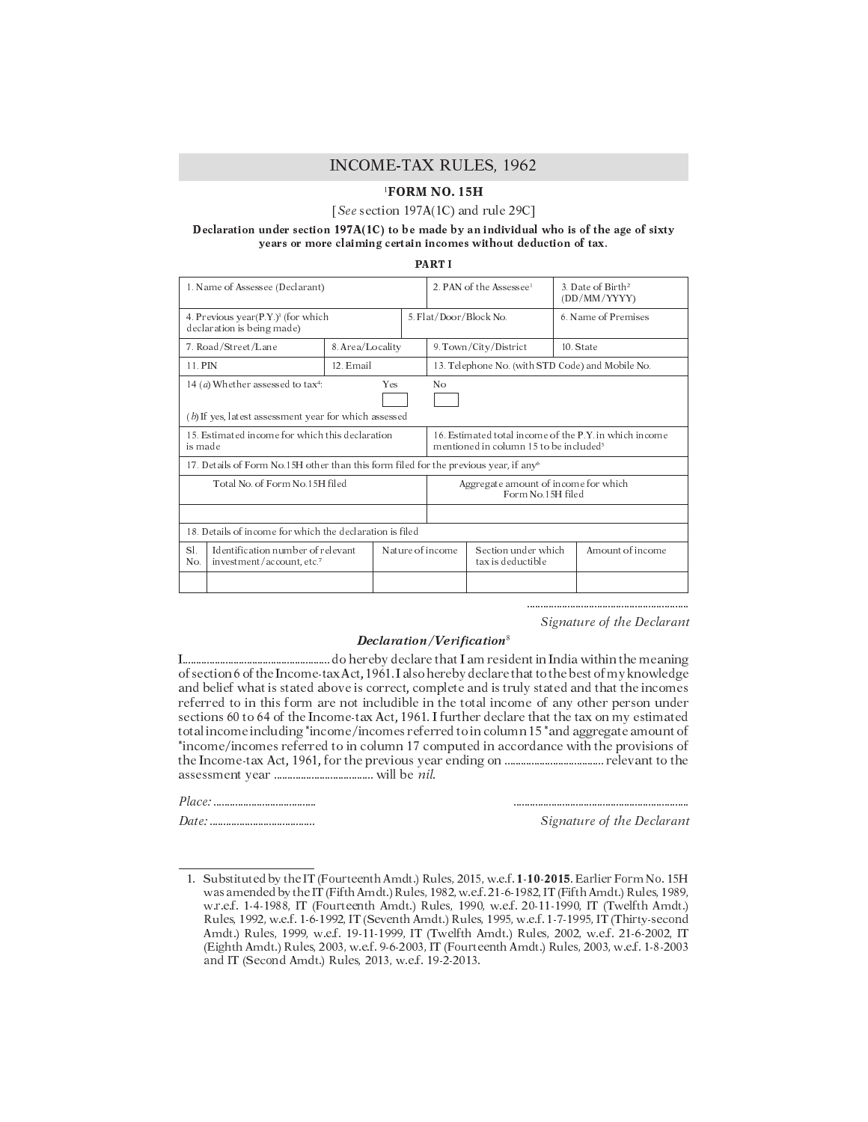# **INCOME-TAX RULES, 1962**

# <sup>1</sup>FORM NO. 15H

### [See section 197A(1C) and rule 29C]

## Declaration under section  $197A(1C)$  to be made by an individual who is of the age of sixty years or more claiming certain incomes without deduction of tax.

**PARTI** 

| 1. Name of Assessee (Declarant)                                                                                                       |                  |                  | 2. PAN of the Assessee <sup>1</sup>                                                                          |                                          |                    | 3. Date of Birth <sup>2</sup><br>(DD/MM/YYYY) |  |  |
|---------------------------------------------------------------------------------------------------------------------------------------|------------------|------------------|--------------------------------------------------------------------------------------------------------------|------------------------------------------|--------------------|-----------------------------------------------|--|--|
| 4. Previous year $(P.Y.)$ <sup>3</sup> (for which<br>declaration is being made)                                                       |                  |                  | 5. Flat/Door/Block No.                                                                                       |                                          | 6 Name of Premises |                                               |  |  |
| 7. Road/Street/Lane                                                                                                                   | 8. Area/Locality |                  |                                                                                                              | 9. Town/City/District                    | 10. State          |                                               |  |  |
| 11. PIN                                                                                                                               | 12. Email        |                  | 13. Telephone No. (with STD Code) and Mobile No.                                                             |                                          |                    |                                               |  |  |
| 14 ( <i>a</i> ) Whether assessed to tax <sup>4</sup> :<br><b>Yes</b><br>No<br>$(b)$ If yes, latest assessment year for which assessed |                  |                  |                                                                                                              |                                          |                    |                                               |  |  |
| 15. Estimated income for which this declaration<br>is made                                                                            |                  |                  | 16. Estimated total income of the P.Y. in which income<br>mentioned in column 15 to be included <sup>5</sup> |                                          |                    |                                               |  |  |
| 17. Details of Form No.15H other than this form filed for the previous year, if any <sup>6</sup>                                      |                  |                  |                                                                                                              |                                          |                    |                                               |  |  |
| Total No. of Form No.15H filed                                                                                                        |                  |                  | Aggregate amount of income for which<br>Form No.15H filed                                                    |                                          |                    |                                               |  |  |
|                                                                                                                                       |                  |                  |                                                                                                              |                                          |                    |                                               |  |  |
| 18. Details of income for which the declaration is filed                                                                              |                  |                  |                                                                                                              |                                          |                    |                                               |  |  |
| SI.<br>Identification number of relevant<br>No.<br>investment/account.etc.7                                                           |                  | Nature of income |                                                                                                              | Section under which<br>tax is deductible |                    | Amount of income                              |  |  |
|                                                                                                                                       |                  |                  |                                                                                                              |                                          |                    |                                               |  |  |

Signature of the Declarant

## $\boldsymbol{Declaration/Verification^s}$

of section 6 of the Income-tax Act, 1961. I also hereby declare that to the best of my knowledge and belief what is stated above is correct, complete and is truly stated and that the incomes referred to in this form are not includible in the total income of any other person under sections 60 to 64 of the Income-tax Act, 1961. I further declare that the tax on my estimated total income including \*income/incomes referred to in column 15 \*and aggregate amount of \*income/incomes referred to in column 17 computed in accordance with the provisions of 

Signature of the Declarant

<sup>1.</sup> Substituted by the IT (Fourteenth Amdt.) Rules, 2015, w.e.f. 1-10-2015. Earlier Form No. 15H was amended by the IT (Fifth Amdt.) Rules, 1982, w.e.f. 21-6-1982, IT (Fifth Amdt.) Rules, 1989, w.r.e.f. 1-4-1988, IT (Fourteenth Amdt.) Rules, 1990, w.e.f. 20-11-1990, IT (Twelfth Amdt.) Rules, 1992, w.e.f. 1-6-1992, IT (Seventh Amdt.) Rules, 1995, w.e.f. 1-7-1995, IT (Thirty-second Amdt.) Rules, 1999, w.e.f. 19-11-1999, IT (Twelfth Amdt.) Rules, 2002, w.e.f. 21-6-2002, IT (Eighth Amdt.) Rules, 2003, w.e.f. 9-6-2003, IT (Fourteenth Amdt.) Rules, 2003, w.e.f. 1-8-2003 and IT (Second Amdt.) Rules, 2013, w.e.f. 19-2-2013.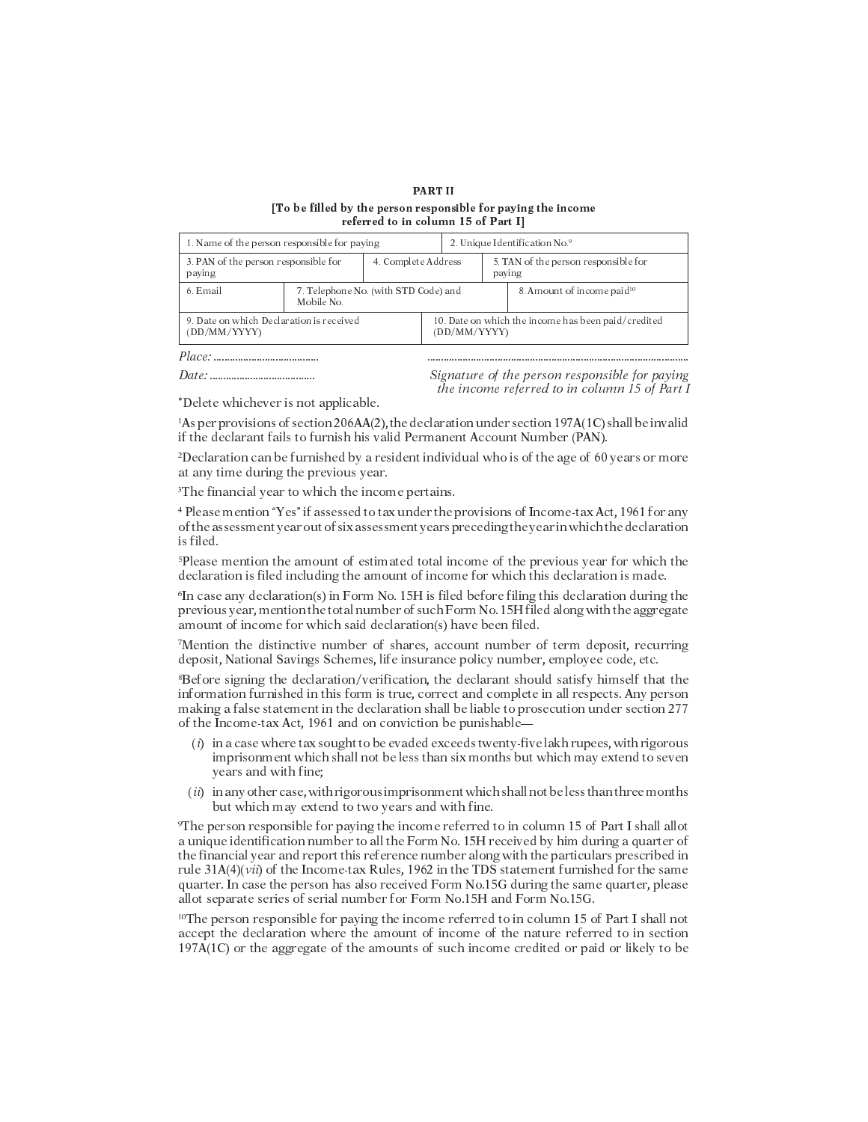### **PART II** [To be filled by the person responsible for paying the income referred to in column 15 of Part I]

| 1. Name of the person responsible for paying             |                                                    |                     |                                                                     | 2. Unique Identification No.9                  |  |                                        |  |
|----------------------------------------------------------|----------------------------------------------------|---------------------|---------------------------------------------------------------------|------------------------------------------------|--|----------------------------------------|--|
| 3. PAN of the person responsible for<br>paying           |                                                    | 4. Complete Address |                                                                     | 5. TAN of the person responsible for<br>paying |  |                                        |  |
| 6. Email                                                 | 7. Telephone No. (with STD Code) and<br>Mobile No. |                     |                                                                     |                                                |  | 8. Amount of income paid <sup>10</sup> |  |
| 9. Date on which Declaration is received<br>(DD/MM/YYYY) |                                                    |                     | 10. Date on which the income has been paid/credited<br>(DD/MM/YYYY) |                                                |  |                                        |  |
|                                                          |                                                    |                     |                                                                     |                                                |  |                                        |  |

Signature of the person responsible for paying the income referred to in column 15 of Part I

\*Delete whichever is not applicable.

 ${}^{1}$ As per provisions of section 206AA(2), the declaration under section 197A(1C) shall be invalid if the declarant fails to furnish his valid Permanent Account Number (PAN).

<sup>2</sup>Declaration can be furnished by a resident individual who is of the age of 60 years or more at any time during the previous year.

<sup>3</sup>The financial year to which the income pertains.

<sup>4</sup> Please mention "Yes" if assessed to tax under the provisions of Income-tax Act, 1961 for any of the assessment year out of six assessment years preceding the year in which the declaration is filed.

<sup>5</sup>Please mention the amount of estimated total income of the previous year for which the declaration is filed including the amount of income for which this declaration is made.

<sup>6</sup>In case any declaration(s) in Form No. 15H is filed before filing this declaration during the previous year, mention the total number of such Form No. 15H filed along with the aggregate amount of income for which said declaration(s) have been filed.

Mention the distinctive number of shares, account number of term deposit, recurring deposit, National Savings Schemes, life insurance policy number, employee code, etc.

<sup>8</sup>Before signing the declaration/verification, the declarant should satisfy himself that the information furnished in this form is true, correct and complete in all respects. Any person making a false statement in the declaration shall be liable to prosecution under section 277 of the Income-tax Act, 1961 and on conviction be punishable—

- $(i)$  in a case where tax sought to be evaded exceeds twenty-five lakh rupees, with rigorous imprisonment which shall not be less than six months but which may extend to seven years and with fine;
- (ii) in any other case, with rigorous imprisonment which shall not beless than three months but which may extend to two years and with fine.

<sup>9</sup>The person responsible for paying the income referred to in column 15 of Part I shall allot a unique identification number to all the Form No. 15H received by him during a quarter of the financial year and report this reference number along with the particulars prescribed in rule  $31A(4)(vii)$  of the Income-tax Rules, 1962 in the TDS statement furnished for the same quarter. In case the person has also received Form No.15G during the same quarter, please allot separate series of serial number for Form No.15H and Form No.15G.

<sup>10</sup>The person responsible for paying the income referred to in column 15 of Part I shall not accept the declaration where the amount of income of the nature referred to in section 197A(1C) or the aggregate of the amounts of such income credited or paid or likely to be